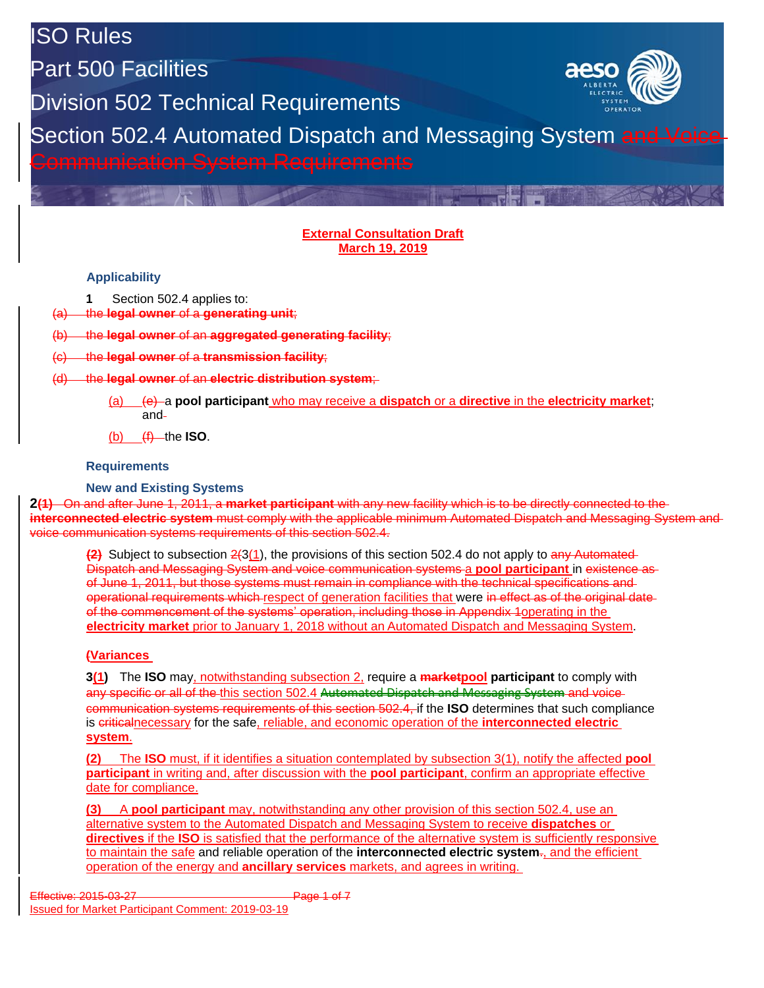ISO Rules

Part 500 Facilities

Division 502 Technical Requirements



Section 502.4 Automated Dispatch and Messaging System and Voice Communication System Requirements

#### **External Consultation Draft March 19, 2019**

The Posts

### **Applicability**

**1** Section 502.4 applies to:

(a) the **legal owner** of a **generating unit**;

(b) the **legal owner** of an **aggregated generating facility**;

(c) the **legal owner** of a **transmission facility**;

- (d) the **legal owner** of an **electric distribution system**;
	- (a) (e) a **pool participant** who may receive a **dispatch** or a **directive** in the **electricity market**; and

 $(b)$   $(f)$  the **ISO**.

#### **Requirements**

**New and Existing Systems**

**2(1)** On and after June 1, 2011, a **market participant** with any new facility which is to be directly connected to the **interconnected electric system** must comply with the applicable minimum Automated Dispatch and Messaging System and voice communication systems requirements of this section 502.4.

**(2)** Subject to subsection 2(3(1), the provisions of this section 502.4 do not apply to any Automated Dispatch and Messaging System and voice communication systems a **pool participant** in existence as of June 1, 2011, but those systems must remain in compliance with the technical specifications and operational requirements which respect of generation facilities that were in effect as of the original dateof the commencement of the systems' operation, including those in Appendix 1operating in the **electricity market** prior to January 1, 2018 without an Automated Dispatch and Messaging System.

### **(Variances**

**3(1)** The **ISO** may, notwithstanding subsection 2, require a **marketpool participant** to comply with any specific or all of the this section 502.4 Automated Dispatch and Messaging System and voice communication systems requirements of this section 502.4, if the **ISO** determines that such compliance is criticalnecessary for the safe, reliable, and economic operation of the **interconnected electric system**.

**(2)** The **ISO** must, if it identifies a situation contemplated by subsection 3(1), notify the affected **pool participant** in writing and, after discussion with the **pool participant**, confirm an appropriate effective date for compliance.

**(3)** A **pool participant** may, notwithstanding any other provision of this section 502.4, use an alternative system to the Automated Dispatch and Messaging System to receive **dispatches** or **directives** if the **ISO** is satisfied that the performance of the alternative system is sufficiently responsive to maintain the safe and reliable operation of the **interconnected electric system**., and the efficient operation of the energy and **ancillary services** markets, and agrees in writing.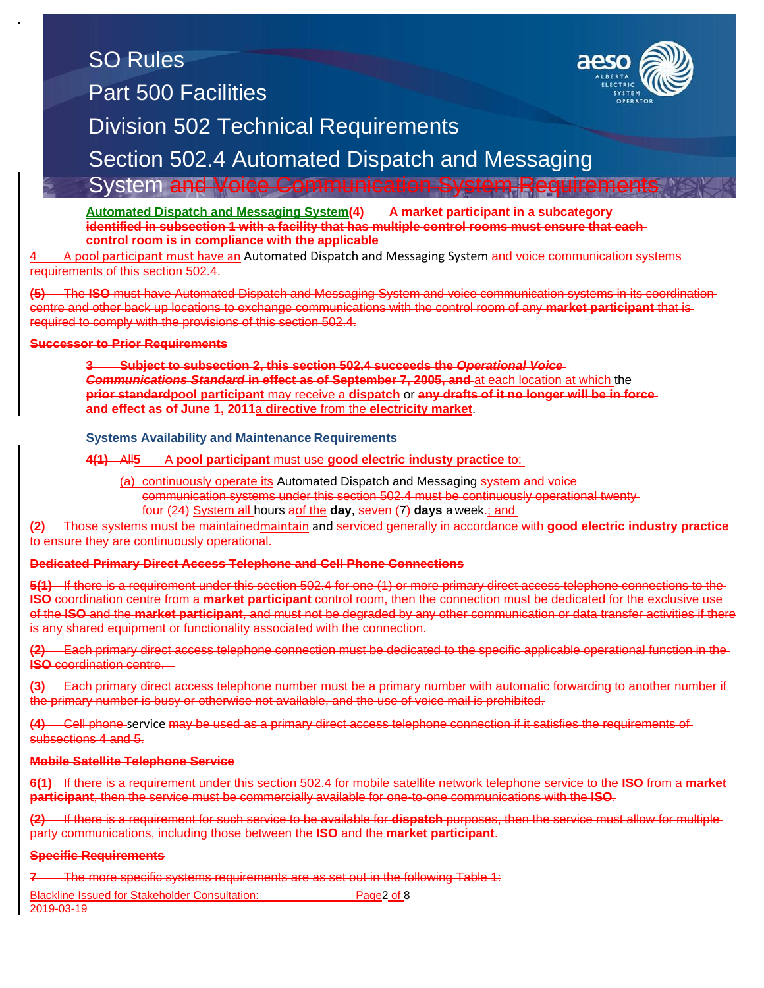## SO Rules Part 500 Facilities



## Division 502 Technical Requirements

Section 502.4 Automated Dispatch and Messaging

### System and Voice Communication System Requirement

<u>Automated Dispatch and Messaging System(</u>4) ——A market participant in a subcategory<br>identified in subsection 1 with a facility that has multiple control rooms must ensure that each **Automated Dispatch and Messaging System(4) A market participant in a subcategory control room is in compliance with the applicable**

**Part of Tart Facilities in Francisc Configures with the applicable**<br>A pool participant must have an Automated Dispatch and Messaging System and voice communication systems requirements of this section 502.4.

requirements or this section ooz.-+-<br>**(5)** The **ISO** must have Automated Dispatch and Messaging System and voice communication systems in its coordination centre and other back up locations to exchange communications with the control room of any **market participant** that is<br>required to comply with the provisions of this section 502.4. required to comply with the provisions of this section 502.4.

### **Successor to Prior Requirements**

**3 Subject to subsection 2, this section 502.4 succeeds the** *Operational Voice Communications Standard* **in effect as of September 7, 2005, and** at each location at which the **prior standardpool participant** may receive a **dispatch** or **any drafts of it no longer will be in force and effect as of June 1, 2011**a **directive** from the **electricity market**.

#### **Systems Availability and Maintenance Requirements**

### **4(1)** All**5** A **pool participant** must use **good electric industy practice** to:

(a) continuously operate its Automated Dispatch and Messaging system and voicecommunication systems under this section 502.4 must be continuously operational twenty four (24) System all hours aof the **day**, seven (7) **days** a week.; and

**(2)** Those systems must be maintainedmaintain and serviced generally in accordance with **good electric industry practice** to ensure they are continuously operational.

### **Dedicated Primary Direct Access Telephone and Cell Phone Connections**

**5(1)** If there is a requirement under this section 502.4 for one (1) or more primary direct access telephone connections to the **ISO** coordination centre from a **market participant** control room, then the connection must be dedicated for the exclusive use of the **ISO** and the **market participant**, and must not be degraded by any other communication or data transfer activities if there is any shared equipment or functionality associated with the connection.

**(2)** Each primary direct access telephone connection must be dedicated to the specific applicable operational function in the **ISO** coordination centre.

**(3)** Each primary direct access telephone number must be a primary number with automatic forwarding to another number if the primary number is busy or otherwise not available, and the use of voice mail is prohibited.

**(4)** Cell phone service may be used as a primary direct access telephone connection if it satisfies the requirements of subsections 4 and 5.

#### **Mobile Satellite Telephone Service**

**6(1)** If there is a requirement under this section 502.4 for mobile satellite network telephone service to the **ISO** from a **market participant**, then the service must be commercially available for one-to-one communications with the **ISO**.

**(2)** If there is a requirement for such service to be available for **dispatch** purposes, then the service must allow for multiple party communications, including those between the **ISO** and the **market participant**.

### **Specific Requirements**

**7** The more specific systems requirements are as set out in the following Table 1:

Blackline Issued for Stakeholder Consultation: Page2 of 8

2019-03-19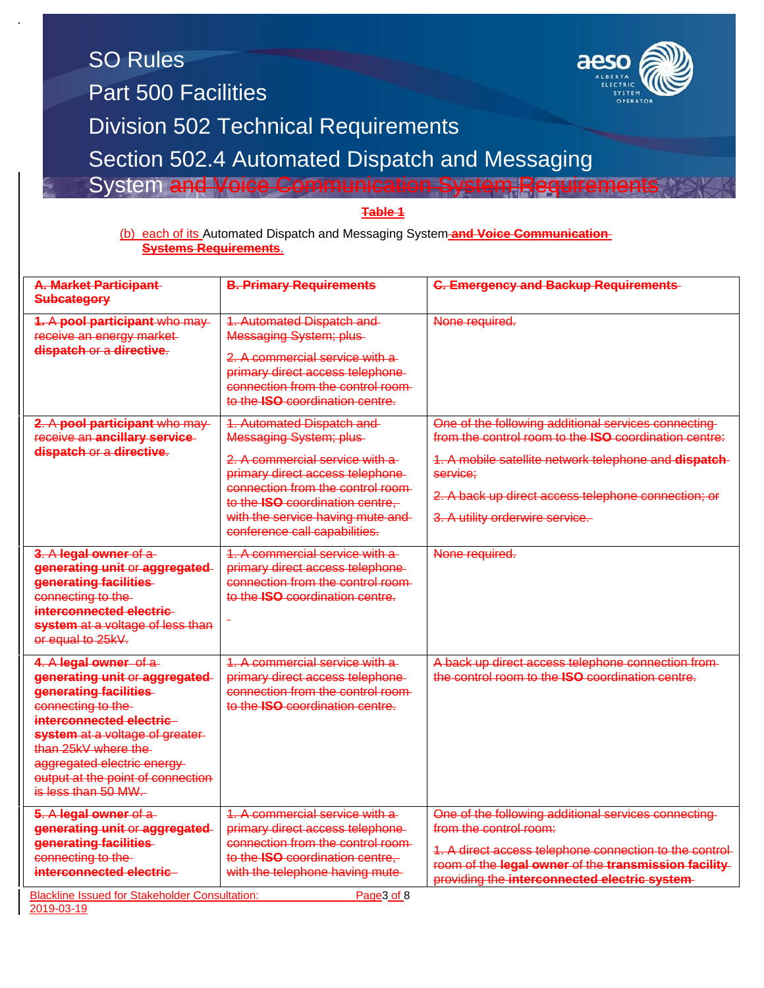| <b>SO Rules</b><br>aeso<br><b>Part 500 Facilities</b><br><b>Division 502 Technical Requirements</b><br>Section 502.4 Automated Dispatch and Messaging<br><b>System and Voice Communication System Requiremer</b><br>Table 1<br>(b) each of its Automated Dispatch and Messaging System-and Voice Communication-<br><b>Systems Requirements.</b> |                                                                                                                                                                                                                                                                                        |                                                                                                                                                                                                                                                                                    |  |  |
|-------------------------------------------------------------------------------------------------------------------------------------------------------------------------------------------------------------------------------------------------------------------------------------------------------------------------------------------------|----------------------------------------------------------------------------------------------------------------------------------------------------------------------------------------------------------------------------------------------------------------------------------------|------------------------------------------------------------------------------------------------------------------------------------------------------------------------------------------------------------------------------------------------------------------------------------|--|--|
| A. Market Participant<br><b>Subcategory</b>                                                                                                                                                                                                                                                                                                     | <b>B. Primary Requirements</b>                                                                                                                                                                                                                                                         | <b>C. Emergency and Backup Requirements</b>                                                                                                                                                                                                                                        |  |  |
| 1. A pool participant who may-<br>receive an energy market-<br>dispatch or a directive.                                                                                                                                                                                                                                                         | <b>1. Automated Dispatch and-</b><br>Messaging System; plus-<br>2. A commercial service with a<br>primary direct access telephone-<br>connection from the control room<br>to the <b>ISO</b> coordination centre.                                                                       | None required.                                                                                                                                                                                                                                                                     |  |  |
| 2. A pool participant who may-<br>receive an ancillary service-<br>dispatch or a directive.                                                                                                                                                                                                                                                     | <b>1. Automated Dispatch and-</b><br><b>Messaging System; plus-</b><br>2. A commercial service with a<br>primary direct access telephone-<br>connection from the control room-<br>to the ISO coordination centre.<br>with the service having mute and<br>conference call capabilities. | One of the following additional services connecting<br>from the control room to the <b>ISO</b> coordination centre:<br>1. A mobile satellite network telephone and dispatch-<br>service;<br>2. A back up direct access telephone connection; or<br>3. A utility orderwire service. |  |  |
| 3. A legal owner of a<br>generating unit or aggregated<br>generating facilities<br>connecting to the<br>interconnected electric<br>system at a voltage of less than<br>or equal to 25kV.                                                                                                                                                        | 1. A commercial service with a<br>primary direct access telephone-<br>connection from the control room-<br>to the <b>ISO</b> coordination centre.                                                                                                                                      | None required.                                                                                                                                                                                                                                                                     |  |  |
| 4. A legal owner of a<br>generating unit or aggregated<br>generating facilities<br>connecting to the<br>interconnected electric<br>system at a voltage of greater-<br>than 25kV where the<br>aggregated electric energy-<br>output at the point of connection<br>is less than 50 MW.                                                            | 1. A commercial service with a<br>primary direct access telephone-<br>connection from the control room-<br>to the <b>ISO</b> coordination centre.                                                                                                                                      | A back up direct access telephone connection from-<br>the control room to the <b>ISO</b> coordination centre.                                                                                                                                                                      |  |  |
| 5. A legal owner of a<br>generating unit or aggregated<br>generating facilities<br>connecting to the<br>interconnected electric<br><b>Blackline Issued for Stakeholder Consultation:</b>                                                                                                                                                        | 1. A commercial service with a<br>primary direct access telephone-<br>connection from the control room-<br>to the ISO coordination centre,<br>with the telephone having mute-<br>Page3 of 8                                                                                            | One of the following additional services connecting<br>from the control room:<br>1. A direct access telephone connection to the control-<br>room of the legal owner of the transmission facility-<br>providing the interconnected electric system-                                 |  |  |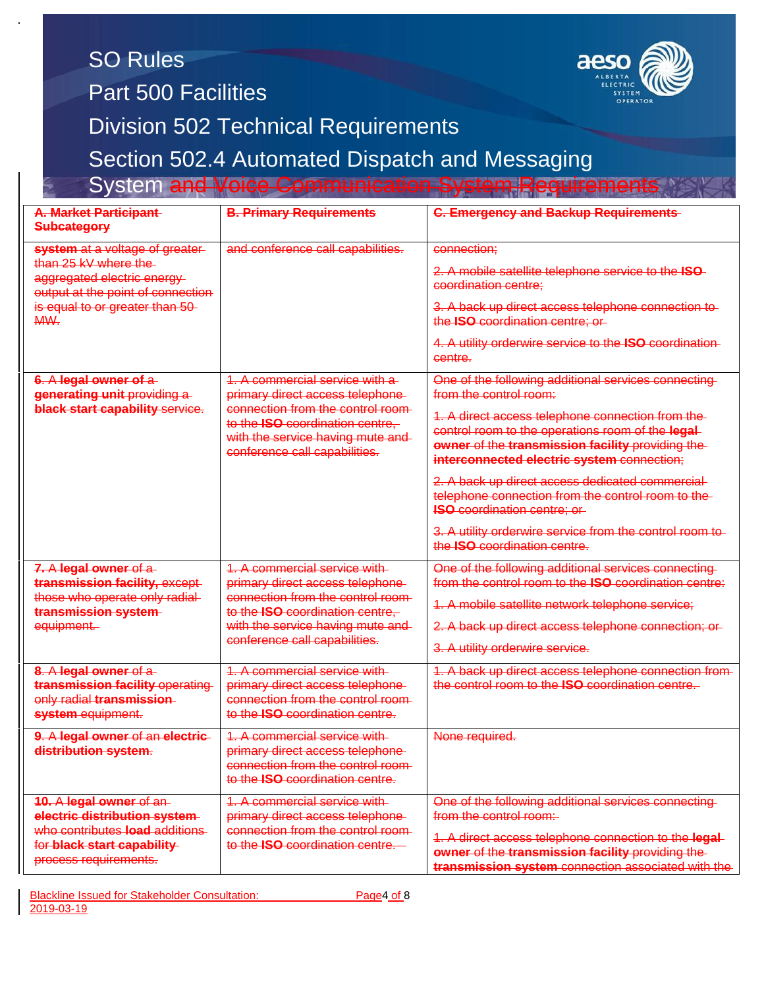| <b>SO Rules</b><br><b>Part 500 Facilities</b>                                                                                                                       |                                                                                                                                                                                                                  |                                                                                                                                                                                                                                                  |  |  |  |
|---------------------------------------------------------------------------------------------------------------------------------------------------------------------|------------------------------------------------------------------------------------------------------------------------------------------------------------------------------------------------------------------|--------------------------------------------------------------------------------------------------------------------------------------------------------------------------------------------------------------------------------------------------|--|--|--|
| <b>Division 502 Technical Requirements</b>                                                                                                                          |                                                                                                                                                                                                                  |                                                                                                                                                                                                                                                  |  |  |  |
| Section 502.4 Automated Dispatch and Messaging                                                                                                                      |                                                                                                                                                                                                                  |                                                                                                                                                                                                                                                  |  |  |  |
| <b>System and Voice Communication System Requirement</b>                                                                                                            |                                                                                                                                                                                                                  |                                                                                                                                                                                                                                                  |  |  |  |
| <b>A. Market Participant</b><br><b>Subcategory</b>                                                                                                                  | <b>B. Primary Requirements</b>                                                                                                                                                                                   | <b>C. Emergency and Backup Requirements</b>                                                                                                                                                                                                      |  |  |  |
| system at a voltage of greater-<br>than 25 kV where the<br>aggregated electric energy<br>output at the point of connection<br>is equal to or greater than 50<br>MW. | and conference call capabilities.                                                                                                                                                                                | connection;                                                                                                                                                                                                                                      |  |  |  |
|                                                                                                                                                                     |                                                                                                                                                                                                                  | 2. A mobile satellite telephone service to the ISO-<br>coordination centre;                                                                                                                                                                      |  |  |  |
|                                                                                                                                                                     |                                                                                                                                                                                                                  | 3. A back up direct access telephone connection to-<br>the ISO coordination centre; or-                                                                                                                                                          |  |  |  |
|                                                                                                                                                                     |                                                                                                                                                                                                                  | 4. A utility orderwire service to the ISO coordination-<br>centre.                                                                                                                                                                               |  |  |  |
| 6. A legal owner of a<br>generating unit providing a<br>black start capability service.                                                                             | 1. A commercial service with a<br>primary direct access telephone-<br>connection from the control room-<br>to the ISO coordination centre,<br>with the service having mute and-<br>conference call capabilities. | One of the following additional services connecting<br>from the control room:                                                                                                                                                                    |  |  |  |
|                                                                                                                                                                     |                                                                                                                                                                                                                  | 1. A direct access telephone connection from the-<br>control room to the operations room of the legal-<br>owner of the transmission facility providing the-<br>interconnected electric system connection;                                        |  |  |  |
|                                                                                                                                                                     |                                                                                                                                                                                                                  | 2. A back up direct access dedicated commercial<br>telephone connection from the control room to the-<br><b>ISO coordination centre; or-</b>                                                                                                     |  |  |  |
|                                                                                                                                                                     |                                                                                                                                                                                                                  | 3. A utility orderwire service from the control room to-<br>the <b>ISO</b> coordination centre.                                                                                                                                                  |  |  |  |
| 7. A legal owner of a<br>transmission facility, except<br>those who operate only radial-<br>transmission system<br>equipment.                                       | A commercial service with<br>primary direct access telephone-<br>connection from the control room-<br>to the ISO coordination centre.<br>with the service having mute and<br>conference call capabilities.       | One of the following additional services connecting<br>from the control room to the ISO coordination centre:                                                                                                                                     |  |  |  |
|                                                                                                                                                                     |                                                                                                                                                                                                                  | 1. A mobile satellite network telephone service;                                                                                                                                                                                                 |  |  |  |
|                                                                                                                                                                     |                                                                                                                                                                                                                  | 2. A back up direct access telephone connection; or-                                                                                                                                                                                             |  |  |  |
|                                                                                                                                                                     |                                                                                                                                                                                                                  | 3. A utility orderwire service.                                                                                                                                                                                                                  |  |  |  |
| 8. A legal owner of a<br>transmission facility operating<br>only radial transmission<br>system equipment.                                                           | 1. A commercial service with-<br>primary direct access telephone-<br>connection from the control room-<br>to the ISO coordination centre.                                                                        | 1. A back up direct access telephone connection from-<br>the control room to the <b>ISO</b> coordination centre.                                                                                                                                 |  |  |  |
| 9. A legal owner of an electric-<br>distribution system.                                                                                                            | 1. A commercial service with<br>primary direct access telephone-<br>connection from the control room-<br>to the <b>ISO</b> coordination centre.                                                                  | None required.                                                                                                                                                                                                                                   |  |  |  |
| 10. A legal owner of an-<br>electric distribution system<br>who contributes load additions<br>for black start capability<br>process requirements.                   | 1. A commercial service with<br>primary direct access telephone-<br>connection from the control room-<br>to the <b>ISO</b> coordination centre.                                                                  | One of the following additional services connecting<br>from the control room:<br>1. A direct access telephone connection to the legal-<br>owner of the transmission facility providing the<br>transmission system connection associated with the |  |  |  |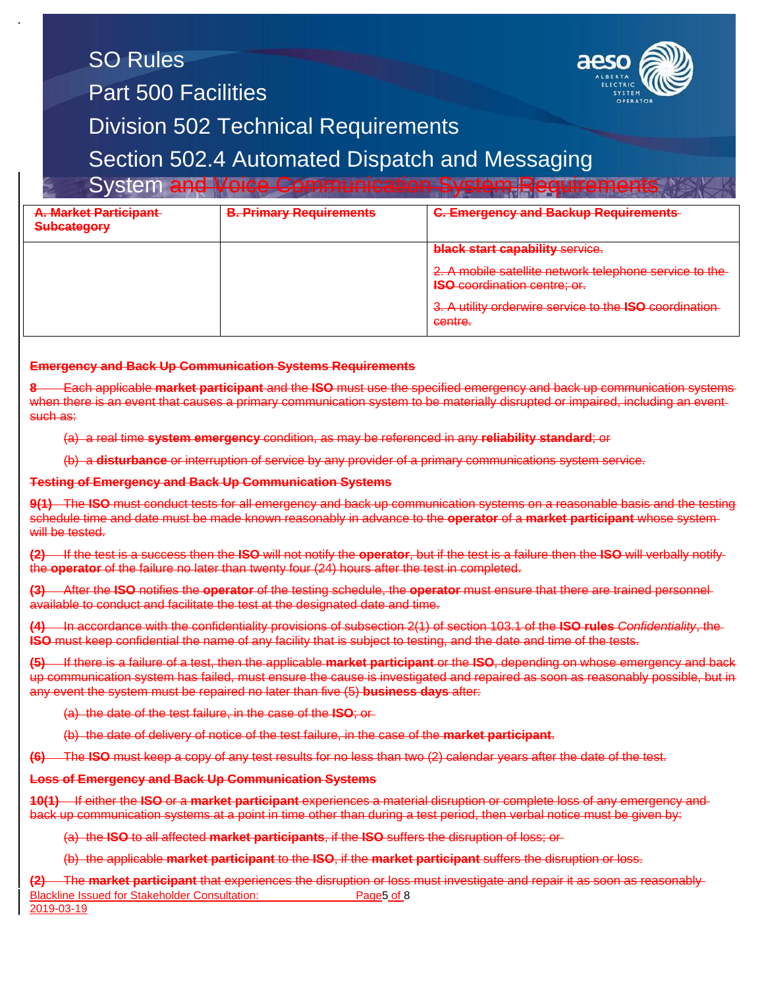## SO Rules Part 500 Facilities

System and Voice Co



### Division 502 Technical Requirements

Section 502.4 Automated Dispatch and Messaging

| <u>Oyalchi dha yoloo Oominumaddon Oyalchi Roquiromonia</u> |                                |                                                                                                |  |  |
|------------------------------------------------------------|--------------------------------|------------------------------------------------------------------------------------------------|--|--|
| <b>A. Market Participant</b><br>Subcategory                | <b>B. Primary Requirements</b> | <b>C. Emergency and Backup Requirements</b>                                                    |  |  |
|                                                            |                                | <b>black start capability service.</b>                                                         |  |  |
|                                                            |                                | 2. A mobile satellite network telephone service to the-<br><b>ISO coordination centre; or.</b> |  |  |
|                                                            |                                | 3. A utility orderwire service to the ISO coordination<br>contro<br><del>contro.</del>         |  |  |
|                                                            |                                |                                                                                                |  |  |

#### **Emergency and Back Up Communication Systems Requirements**

**8** Each applicable **market participant** and the **ISO** must use the specified emergency and back up communication systems when there is an event that causes a primary communication system to be materially disrupted or impaired, including an eventsuch as:

(a) a real time **system emergency** condition, as may be referenced in any **reliability standard**; or

(b) a **disturbance** or interruption of service by any provider of a primary communications system service.

#### **Testing of Emergency and Back Up Communication Systems**

**9(1)** The **ISO** must conduct tests for all emergency and back up communication systems on a reasonable basis and the testing schedule time and date must be made known reasonably in advance to the **operator** of a **market participant** whose system will be tested.

**(2)** If the test is a success then the **ISO** will not notify the **operator**, but if the test is a failure then the **ISO** will verbally notify the **operator** of the failure no later than twenty four (24) hours after the test in completed.

**(3)** After the **ISO** notifies the **operator** of the testing schedule, the **operator** must ensure that there are trained personnel available to conduct and facilitate the test at the designated date and time.

**(4)** In accordance with the confidentiality provisions of subsection 2(1) of section 103.1 of the **ISO rules** *Confidentiality*, the **ISO** must keep confidential the name of any facility that is subject to testing, and the date and time of the tests.

**(5)** If there is a failure of a test, then the applicable **market participant** or the **ISO**, depending on whose emergency and back up communication system has failed, must ensure the cause is investigated and repaired as soon as reasonably possible, but in any event the system must be repaired no later than five (5) **business days** after:

(a) the date of the test failure, in the case of the **ISO**; or

(b) the date of delivery of notice of the test failure, in the case of the **market participant**.

**(6)** The **ISO** must keep a copy of any test results for no less than two (2) calendar years after the date of the test.

#### **Loss of Emergency and Back Up Communication Systems**

**10(1)** If either the **ISO** or a **market participant** experiences a material disruption or complete loss of any emergency and back up communication systems at a point in time other than during a test period, then verbal notice must be given by:

(a) the **ISO** to all affected **market participants**, if the **ISO** suffers the disruption of loss; or

(b) the applicable **market participant** to the **ISO**, if the **market participant** suffers the disruption or loss.

Blackline Issued for Stakeholder Consultation: Page5 of 8 2019-03-19 **(2)** The **market participant** that experiences the disruption or loss must investigate and repair it as soon as reasonably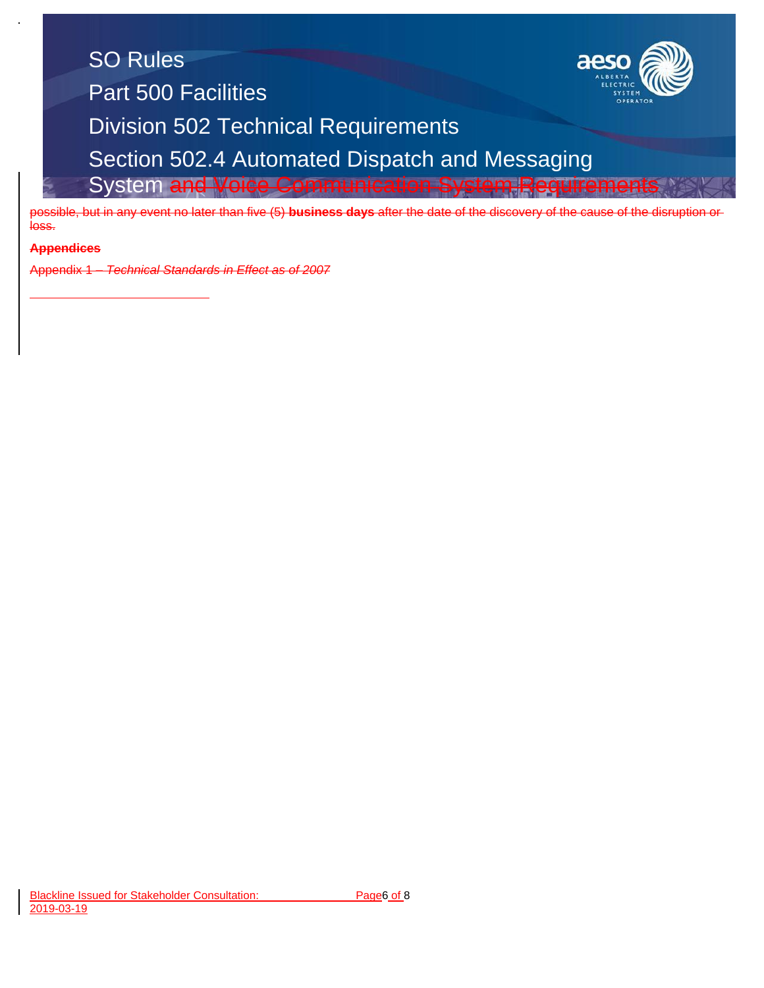

possible, but in any event no later than five (5) **business days** after the date of the discovery of the cause of the disruption or<br>loss loss.

#### Part 500 Facilities **Appendices**

Program diamagna Prince de Silbos Appendix 1 – *Technical Standards in Effect as of 2007*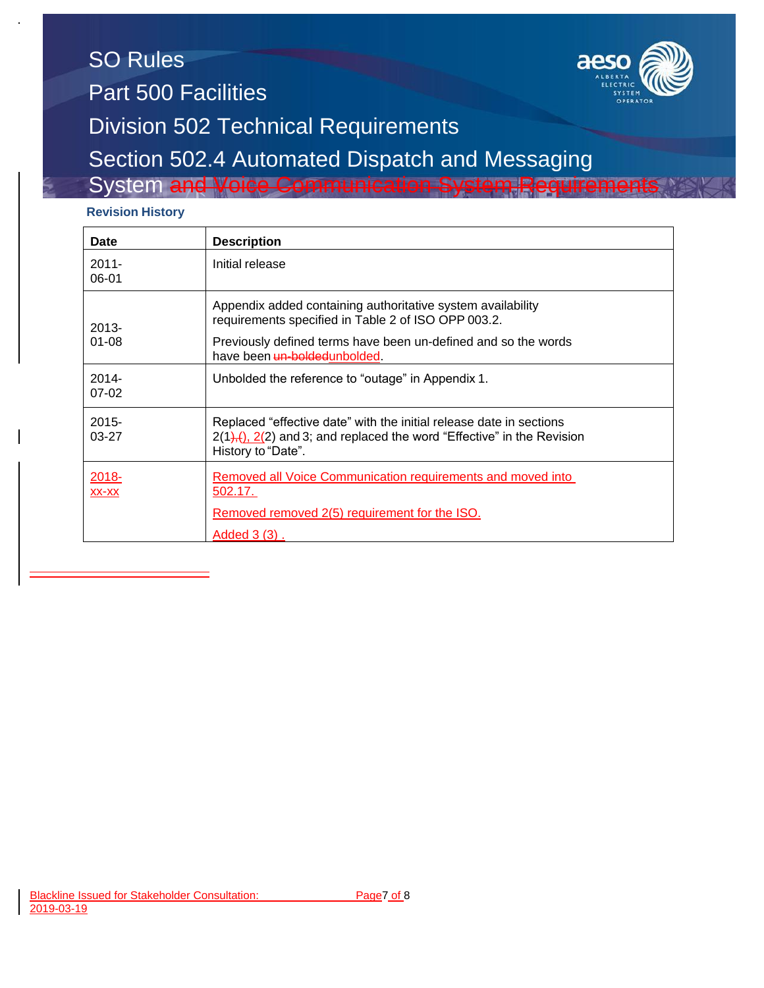## SO Rules Part 500 Facilities Division 502 Technical Requirements Section 502.4 Automated Dispatch and Messaging System and Voice Com

## **Revision History**

| <b>Date</b>           | <b>Description</b>                                                                                                                                                   |  |
|-----------------------|----------------------------------------------------------------------------------------------------------------------------------------------------------------------|--|
| $2011 -$<br>06-01     | Initial release                                                                                                                                                      |  |
| $2013 -$<br>$01 - 08$ | Appendix added containing authoritative system availability<br>requirements specified in Table 2 of ISO OPP 003.2.                                                   |  |
|                       | Previously defined terms have been un-defined and so the words<br>have been un-bolded unbolded.                                                                      |  |
| $2014 -$<br>$07-02$   | Unbolded the reference to "outage" in Appendix 1.                                                                                                                    |  |
| $2015 -$<br>$03-27$   | Replaced "effective date" with the initial release date in sections<br>$2(1)$ , $(2)$ and 3; and replaced the word "Effective" in the Revision<br>History to "Date". |  |
| 2018-<br>$XX-XX$      | Removed all Voice Communication requirements and moved into<br>502.17.                                                                                               |  |
|                       | Removed removed 2(5) requirement for the ISO.                                                                                                                        |  |
|                       | Added 3 (3).                                                                                                                                                         |  |